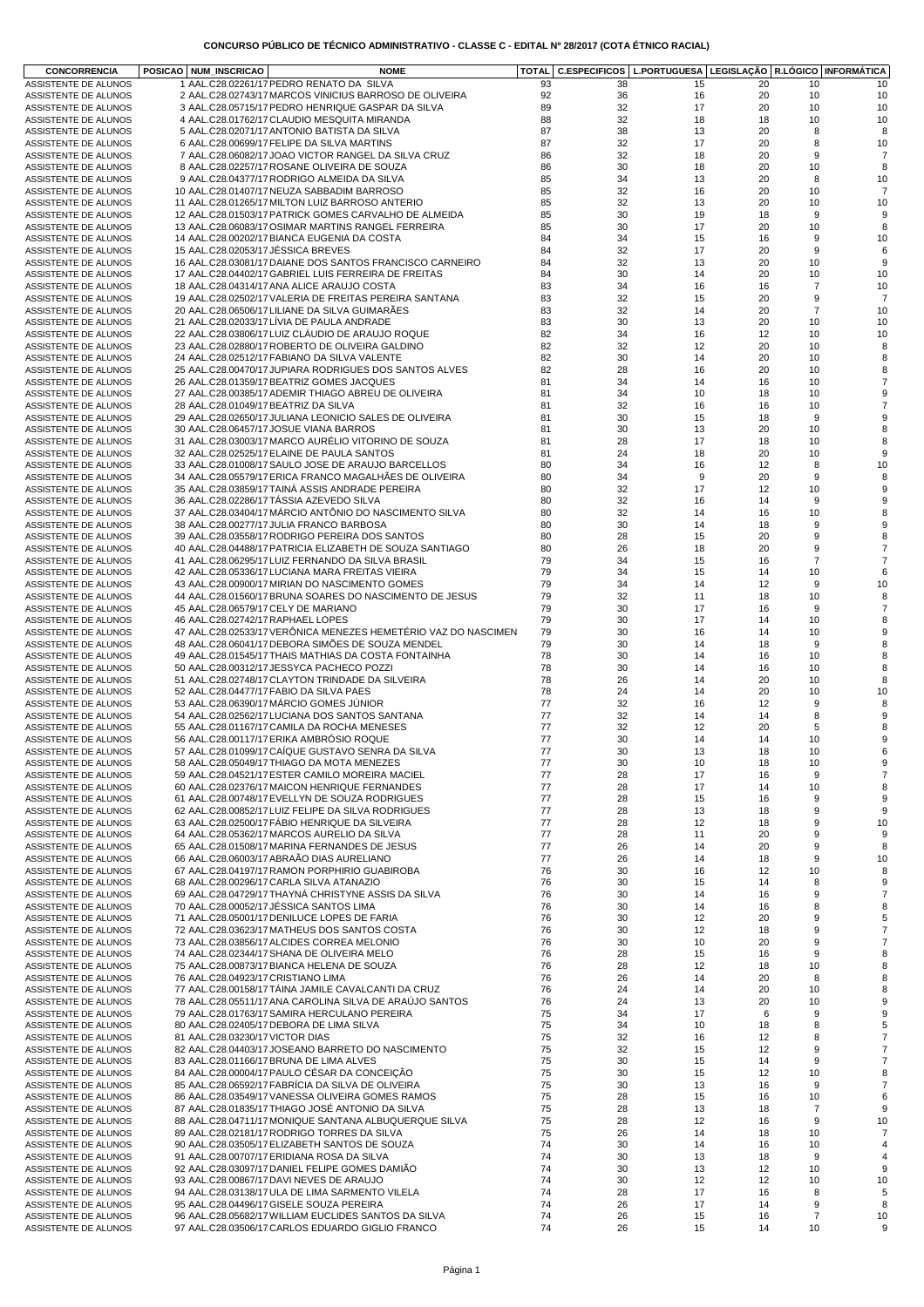|  | CONCURSO PUBLICO DE TECNICO ADMINISTRATIVO - CLASSE C - EDITAL Nº 28/2017 (COTA ETNICO RACIAL) |  |  |  |
|--|------------------------------------------------------------------------------------------------|--|--|--|
|  |                                                                                                |  |  |  |
|  |                                                                                                |  |  |  |
|  |                                                                                                |  |  |  |

| <b>CONCORRENCIA</b>                          | POSICAO   NUM_INSCRICAO<br><b>NOME</b>                                                                    |          | TOTAL C.ESPECIFICOS |          | L.PORTUGUESA LEGISLAÇÃO R.LÓGICO INFORMÁTICA |                |                     |
|----------------------------------------------|-----------------------------------------------------------------------------------------------------------|----------|---------------------|----------|----------------------------------------------|----------------|---------------------|
| ASSISTENTE DE ALUNOS                         | 1 AAL.C28.02261/17 PEDRO RENATO DA SILVA                                                                  | 93       | 38                  | 15       | 20                                           | 10             | 10                  |
| ASSISTENTE DE ALUNOS                         | 2 AAL.C28.02743/17 MARCOS VINICIUS BARROSO DE OLIVEIRA                                                    | 92       | 36                  | 16       | 20                                           | 10             | 10                  |
| ASSISTENTE DE ALUNOS                         | 3 AAL.C28.05715/17 PEDRO HENRIQUE GASPAR DA SILVA                                                         | 89       | 32                  | 17       | 20                                           | 10             | 10                  |
| ASSISTENTE DE ALUNOS                         | 4 AAL.C28.01762/17 CLAUDIO MESQUITA MIRANDA                                                               | 88       | 32                  | 18       | 18                                           | 10             | 10                  |
| ASSISTENTE DE ALUNOS                         | 5 AAL.C28.02071/17 ANTONIO BATISTA DA SILVA                                                               | 87       | 38                  | 13       | 20                                           | 8              | 8                   |
| ASSISTENTE DE ALUNOS                         | 6 AAL.C28.00699/17 FELIPE DA SILVA MARTINS                                                                | 87       | 32                  | 17       | 20                                           | 8              | 10                  |
| ASSISTENTE DE ALUNOS                         | 7 AAL.C28.06082/17 JOAO VICTOR RANGEL DA SILVA CRUZ                                                       | 86       | 32                  | 18       | 20                                           | 9              | $\overline{7}$      |
| ASSISTENTE DE ALUNOS                         | 8 AAL.C28.02257/17 ROSANE OLIVEIRA DE SOUZA                                                               | 86       | 30                  | 18       | 20                                           | 10             | 8                   |
| ASSISTENTE DE ALUNOS                         | 9 AAL.C28.04377/17 RODRIGO ALMEIDA DA SILVA                                                               | 85       | 34                  | 13       | 20                                           | 8              | 10                  |
| ASSISTENTE DE ALUNOS                         | 10 AAL.C28.01407/17 NEUZA SABBADIM BARROSO                                                                | 85       | 32                  | 16       | 20                                           | 10             | $\overline{7}$      |
| ASSISTENTE DE ALUNOS                         | 11 AAL.C28.01265/17 MILTON LUIZ BARROSO ANTERIO                                                           | 85       | 32                  | 13       | 20                                           | 10             | 10                  |
| ASSISTENTE DE ALUNOS                         | 12 AAL.C28.01503/17 PATRICK GOMES CARVALHO DE ALMEIDA                                                     | 85       | 30                  | 19       | 18                                           | 9              | 9                   |
| ASSISTENTE DE ALUNOS                         | 13 AAL.C28.06083/17 OSIMAR MARTINS RANGEL FERREIRA                                                        | 85<br>84 | 30<br>34            | 17<br>15 | 20<br>16                                     | 10             | 8<br>10             |
| ASSISTENTE DE ALUNOS<br>ASSISTENTE DE ALUNOS | 14 AAL.C28.00202/17 BIANCA EUGENIA DA COSTA<br>15 AAL.C28.02053/17 JÉSSICA BREVES                         | 84       | 32                  | 17       | 20                                           | 9<br>9         | 6                   |
| ASSISTENTE DE ALUNOS                         | 16 AAL.C28.03081/17 DAIANE DOS SANTOS FRANCISCO CARNEIRO                                                  | 84       | 32                  | 13       | 20                                           | 10             | 9                   |
| ASSISTENTE DE ALUNOS                         | 17 AAL.C28.04402/17 GABRIEL LUIS FERREIRA DE FREITAS                                                      | 84       | 30                  | 14       | 20                                           | 10             | 10                  |
| ASSISTENTE DE ALUNOS                         | 18 AAL.C28.04314/17 ANA ALICE ARAUJO COSTA                                                                | 83       | 34                  | 16       | 16                                           | $\overline{7}$ | 10                  |
| ASSISTENTE DE ALUNOS                         | 19 AAL.C28.02502/17 VALERIA DE FREITAS PEREIRA SANTANA                                                    | 83       | 32                  | 15       | 20                                           | 9              | $\overline{7}$      |
| ASSISTENTE DE ALUNOS                         | 20 AAL.C28.06506/17 LILIANE DA SILVA GUIMARÃES                                                            | 83       | 32                  | 14       | 20                                           | $\overline{7}$ | 10                  |
| ASSISTENTE DE ALUNOS                         | 21 AAL.C28.02033/17 LİVIA DE PAULA ANDRADE                                                                | 83       | 30                  | 13       | 20                                           | 10             | 10                  |
| ASSISTENTE DE ALUNOS                         | 22 AAL.C28.03806/17 LUIZ CLAUDIO DE ARAUJO ROQUE                                                          | 82       | 34                  | 16       | 12                                           | 10             | 10                  |
| ASSISTENTE DE ALUNOS                         | 23 AAL.C28.02880/17 ROBERTO DE OLIVEIRA GALDINO                                                           | 82       | 32                  | 12       | 20                                           | 10             | 8                   |
| ASSISTENTE DE ALUNOS                         | 24 AAL.C28.02512/17 FABIANO DA SILVA VALENTE                                                              | 82       | 30                  | 14       | 20                                           | 10             | 8                   |
| ASSISTENTE DE ALUNOS                         | 25 AAL.C28.00470/17 JUPIARA RODRIGUES DOS SANTOS ALVES                                                    | 82       | 28                  | 16       | 20                                           | 10             | 8                   |
| ASSISTENTE DE ALUNOS                         | 26 AAL.C28.01359/17 BEATRIZ GOMES JACQUES                                                                 | 81       | 34                  | 14       | 16                                           | 10             | $\overline{7}$      |
| ASSISTENTE DE ALUNOS                         | 27 AAL.C28.00385/17 ADEMIR THIAGO ABREU DE OLIVEIRA                                                       | 81       | 34                  | 10       | 18                                           | 10             | 9                   |
| ASSISTENTE DE ALUNOS                         | 28 AAL.C28.01049/17 BEATRIZ DA SILVA                                                                      | 81       | 32                  | 16       | 16                                           | 10             | $\overline{7}$      |
| ASSISTENTE DE ALUNOS                         | 29 AAL.C28.02650/17 JULIANA LEONICIO SALES DE OLIVEIRA                                                    | 81       | 30                  | 15       | 18                                           | 9              | 9                   |
| ASSISTENTE DE ALUNOS                         | 30 AAL.C28.06457/17 JOSUE VIANA BARROS                                                                    | 81       | 30                  | 13       | 20                                           | 10             | 8                   |
| ASSISTENTE DE ALUNOS                         | 31 AAL.C28.03003/17 MARCO AURELIO VITORINO DE SOUZA                                                       | 81       | 28                  | 17       | 18                                           | 10             | 8                   |
| ASSISTENTE DE ALUNOS                         | 32 AAL.C28.02525/17 ELAINE DE PAULA SANTOS                                                                | 81       | 24                  | 18       | 20                                           | 10             | 9                   |
| ASSISTENTE DE ALUNOS                         | 33 AAL.C28.01008/17 SAULO JOSE DE ARAUJO BARCELLOS                                                        | 80       | 34                  | 16       | 12                                           | 8              | 10                  |
| ASSISTENTE DE ALUNOS                         | 34 AAL.C28.05579/17 ERICA FRANCO MAGALHÃES DE OLIVEIRA                                                    | 80       | 34                  | 9        | 20                                           | 9              | 8                   |
| ASSISTENTE DE ALUNOS                         | 35 AAL.C28.03859/17 TAINA ASSIS ANDRADE PEREIRA                                                           | 80       | 32                  | 17       | 12                                           | 10             | 9                   |
| ASSISTENTE DE ALUNOS                         | 36 AAL.C28.02286/17 TÁSSIA AZEVEDO SILVA                                                                  | 80       | 32                  | 16       | 14                                           | 9              | 9                   |
| ASSISTENTE DE ALUNOS                         | 37 AAL.C28.03404/17 MÁRCIO ANTÔNIO DO NASCIMENTO SILVA                                                    | 80       | 32                  | 14       | 16                                           | 10             | 8                   |
| ASSISTENTE DE ALUNOS                         | 38 AAL.C28.00277/17 JULIA FRANCO BARBOSA                                                                  | 80       | 30                  | 14       | 18                                           | 9              | 9                   |
| ASSISTENTE DE ALUNOS                         | 39 AAL.C28.03558/17 RODRIGO PEREIRA DOS SANTOS                                                            | 80       | 28                  | 15       | 20                                           | 9              | 8                   |
| ASSISTENTE DE ALUNOS                         | 40 AAL.C28.04488/17 PATRICIA ELIZABETH DE SOUZA SANTIAGO                                                  | 80       | 26                  | 18       | 20                                           | 9              | $\overline{7}$      |
| ASSISTENTE DE ALUNOS                         | 41 AAL.C28.06295/17 LUIZ FERNANDO DA SILVA BRASIL                                                         | 79       | 34                  | 15       | 16                                           | 7              | $\overline{7}$      |
| ASSISTENTE DE ALUNOS                         | 42 AAL.C28.05336/17 LUCIANA MARA FREITAS VIEIRA                                                           | 79       | 34                  | 15       | 14                                           | 10             | 6                   |
| ASSISTENTE DE ALUNOS                         | 43 AAL.C28.00900/17 MIRIAN DO NASCIMENTO GOMES                                                            | 79       | 34                  | 14       | 12                                           | 9              | 10                  |
| ASSISTENTE DE ALUNOS                         | 44 AAL.C28.01560/17 BRUNA SOARES DO NASCIMENTO DE JESUS                                                   | 79       | 32                  | 11       | 18                                           | 10             | 8<br>$\overline{7}$ |
| ASSISTENTE DE ALUNOS                         | 45 AAL.C28.06579/17 CELY DE MARIANO                                                                       | 79       | 30                  | 17       | 16                                           | 9              |                     |
| ASSISTENTE DE ALUNOS<br>ASSISTENTE DE ALUNOS | 46 AAL.C28.02742/17 RAPHAEL LOPES<br>47 AAL.C28.02533/17 VERÔNICA MENEZES HEMETÉRIO VAZ DO NASCIMEN       | 79<br>79 | 30<br>30            | 17<br>16 | 14<br>14                                     | 10<br>10       | 8<br>9              |
| ASSISTENTE DE ALUNOS                         | 48 AAL.C28.06041/17 DEBORA SIMÕES DE SOUZA MENDEL                                                         | 79       | 30                  | 14       | 18                                           | 9              | 8                   |
| ASSISTENTE DE ALUNOS                         | 49 AAL.C28.01545/17 THAIS MATHIAS DA COSTA FONTAINHA                                                      | 78       | 30                  | 14       | 16                                           | 10             | 8                   |
| ASSISTENTE DE ALUNOS                         | 50 AAL.C28.00312/17 JESSYCA PACHECO POZZI                                                                 | 78       | 30                  | 14       | 16                                           | 10             | 8                   |
| ASSISTENTE DE ALUNOS                         | 51 AAL.C28.02748/17 CLAYTON TRINDADE DA SILVEIRA                                                          | 78       | 26                  | 14       | 20                                           | 10             | 8                   |
| ASSISTENTE DE ALUNOS                         | 52 AAL.C28.04477/17 FABIO DA SILVA PAES                                                                   | 78       | 24                  | 14       | 20                                           | 10             | 10                  |
| ASSISTENTE DE ALUNOS                         | 53 AAL.C28.06390/17 MARCIO GOMES JUNIOR                                                                   | 77       | 32                  | 16       | 12                                           | 9              | 8                   |
| ASSISTENTE DE ALUNOS                         | 54 AAL.C28.02562/17 LUCIANA DOS SANTOS SANTANA                                                            | 77       | 32                  | 14       | 14                                           | 8              | 9                   |
| ASSISTENTE DE ALUNOS                         | 55 AAL.C28.01167/17 CAMILA DA ROCHA MENESES                                                               | 77       | 32                  | 12       | 20                                           | 5              | 8                   |
| ASSISTENTE DE ALUNOS                         | 56 AAL.C28.00117/17 ERIKA AMBROSIO ROQUE                                                                  | 77       | 30                  | 14       | 14                                           | 10             | 9                   |
| ASSISTENTE DE ALUNOS                         | 57 AAL.C28.01099/17 CAIQUE GUSTAVO SENRA DA SILVA                                                         | 77       | 30                  | 13       | 18                                           | 10             | 6                   |
| ASSISTENTE DE ALUNOS                         | 58 AAL.C28.05049/17 THIAGO DA MOTA MENEZES                                                                | 77       | 30                  | 10       | 18                                           | 10             | 9                   |
| ASSISTENTE DE ALUNOS                         | 59 AAL.C28.04521/17 ESTER CAMILO MOREIRA MACIEL                                                           | 77       | 28                  | 17       | 16                                           | 9              | $\overline{7}$      |
| ASSISTENTE DE ALUNOS                         | 60 AAL.C28.02376/17 MAICON HENRIQUE FERNANDES                                                             | 77       | 28                  | 17       | 14                                           | 10             | 8                   |
| ASSISTENTE DE ALUNOS                         | 61 AAL.C28.00748/17 EVELLYN DE SOUZA RODRIGUES                                                            | 77       | 28                  | 15       | 16                                           | 9              | 9                   |
| ASSISTENTE DE ALUNOS                         | 62 AAL.C28.00852/17 LUIZ FELIPE DA SILVA RODRIGUES                                                        | 77       | 28                  | 13       | 18                                           | 9              | 9                   |
| ASSISTENTE DE ALUNOS                         | 63 AAL.C28.02500/17 FABIO HENRIQUE DA SILVEIRA                                                            | 77       | 28                  | 12       | 18                                           | 9              | 10                  |
| ASSISTENTE DE ALUNOS                         | 64 AAL.C28.05362/17 MARCOS AURELIO DA SILVA                                                               | 77       | 28                  | 11       | 20                                           | 9              | 9                   |
| ASSISTENTE DE ALUNOS                         | 65 AAL.C28.01508/17 MARINA FERNANDES DE JESUS<br>66 AAL.C28.06003/17 ABRAÃO DIAS AURELIANO                | 77       | 26                  | 14       | 20                                           | 9              | 8                   |
| ASSISTENTE DE ALUNOS<br>ASSISTENTE DE ALUNOS | 67 AAL.C28.04197/17 RAMON PORPHIRIO GUABIROBA                                                             | 77<br>76 | 26<br>30            | 14<br>16 | 18<br>12                                     | 9<br>10        | 10<br>8             |
| ASSISTENTE DE ALUNOS                         | 68 AAL.C28.00296/17 CARLA SILVA ATANAZIO                                                                  | 76       | 30                  | 15       | 14                                           | 8              | 9                   |
| ASSISTENTE DE ALUNOS                         | 69 AAL.C28.04729/17 THAYNÁ CHRISTYNE ASSIS DA SILVA                                                       | 76       | 30                  | 14       | 16                                           | 9              | $\overline{7}$      |
| ASSISTENTE DE ALUNOS                         | 70 AAL.C28.00052/17 JÉSSICA SANTOS LIMA                                                                   | 76       | 30                  | 14       | 16                                           | 8              | 8                   |
| ASSISTENTE DE ALUNOS                         | 71 AAL.C28.05001/17 DENILUCE LOPES DE FARIA                                                               | 76       | 30                  | 12       | 20                                           | 9              | 5                   |
| ASSISTENTE DE ALUNOS                         | 72 AAL.C28.03623/17 MATHEUS DOS SANTOS COSTA                                                              | 76       | 30                  | 12       | 18                                           | 9              | $\overline{7}$      |
| ASSISTENTE DE ALUNOS                         | 73 AAL.C28.03856/17 ALCIDES CORREA MELONIO                                                                | 76       | 30                  | 10       | 20                                           | 9              | $\overline{7}$      |
| ASSISTENTE DE ALUNOS                         | 74 AAL.C28.02344/17 SHANA DE OLIVEIRA MELO                                                                | 76       | 28                  | 15       | 16                                           | 9              | 8                   |
| ASSISTENTE DE ALUNOS                         | 75 AAL.C28.00873/17 BIANCA HELENA DE SOUZA                                                                | 76       | 28                  | 12       | 18                                           | 10             | 8                   |
| ASSISTENTE DE ALUNOS                         | 76 AAL.C28.04923/17 CRISTIANO LIMA                                                                        | 76       | 26                  | 14       | 20                                           | 8              | 8                   |
| ASSISTENTE DE ALUNOS                         | 77 AAL.C28.00158/17 TÁINA JAMILE CAVALCANTI DA CRUZ                                                       | 76       | 24                  | 14       | 20                                           | 10             | 8                   |
| ASSISTENTE DE ALUNOS                         | 78 AAL.C28.05511/17 ANA CAROLINA SILVA DE ARAÚJO SANTOS                                                   | 76       | 24                  | 13       | 20                                           | 10             | $9\,$               |
| ASSISTENTE DE ALUNOS                         | 79 AAL.C28.01763/17 SAMIRA HERCULANO PEREIRA                                                              | 75       | 34                  | 17       | 6                                            | 9              | 9                   |
| ASSISTENTE DE ALUNOS                         | 80 AAL.C28.02405/17 DEBORA DE LIMA SILVA                                                                  | 75       | 34                  | 10       | 18                                           | 8              | 5                   |
| ASSISTENTE DE ALUNOS                         | 81 AAL.C28.03230/17 VICTOR DIAS                                                                           | 75       | 32                  | 16       | 12                                           | 8              | $\overline{7}$      |
| ASSISTENTE DE ALUNOS                         | 82 AAL.C28.04403/17 JOSEANO BARRETO DO NASCIMENTO                                                         | 75       | 32                  | 15       | 12                                           | 9              | $\overline{7}$      |
| ASSISTENTE DE ALUNOS                         | 83 AAL.C28.01166/17 BRUNA DE LIMA ALVES                                                                   | 75       | 30                  | 15       | 14                                           | 9              | $\overline{7}$      |
| ASSISTENTE DE ALUNOS                         | 84 AAL.C28.00004/17 PAULO CÉSAR DA CONCEIÇÃO                                                              | 75       | 30                  | 15       | 12                                           | 10             | 8                   |
| ASSISTENTE DE ALUNOS                         | 85 AAL.C28.06592/17 FABRÍCIA DA SILVA DE OLIVEIRA<br>86 AAL.C28.03549/17 VANESSA OLIVEIRA GOMES RAMOS     | 75<br>75 | 30<br>28            | 13<br>15 | 16                                           | 9              | $\overline{7}$<br>6 |
| ASSISTENTE DE ALUNOS                         |                                                                                                           |          |                     |          | 16                                           | 10             | 9                   |
| ASSISTENTE DE ALUNOS<br>ASSISTENTE DE ALUNOS | 87 AAL.C28.01835/17 THIAGO JOSÉ ANTONIO DA SILVA<br>88 AAL.C28.04711/17 MONIQUE SANTANA ALBUQUERQUE SILVA | 75<br>75 | 28<br>28            | 13<br>12 | 18<br>16                                     | 7<br>9         | 10                  |
| ASSISTENTE DE ALUNOS                         | 89 AAL.C28.02181/17 RODRIGO TORRES DA SILVA                                                               | 75       | 26                  | 14       | 18                                           | 10             | $\overline{7}$      |
| ASSISTENTE DE ALUNOS                         | 90 AAL.C28.03505/17 ELIZABETH SANTOS DE SOUZA                                                             | 74       | 30                  | 14       | 16                                           | 10             | $\overline{4}$      |
| ASSISTENTE DE ALUNOS                         | 91 AAL.C28.00707/17 ERIDIANA ROSA DA SILVA                                                                | 74       | 30                  | 13       | 18                                           | 9              | $\overline{4}$      |
| ASSISTENTE DE ALUNOS                         | 92 AAL.C28.03097/17 DANIEL FELIPE GOMES DAMIÃO                                                            | 74       | 30                  | 13       | 12                                           | 10             | 9                   |
| ASSISTENTE DE ALUNOS                         | 93 AAL.C28.00867/17 DAVI NEVES DE ARAUJO                                                                  | 74       | 30                  | 12       | 12                                           | 10             | 10                  |
| ASSISTENTE DE ALUNOS                         | 94 AAL.C28.03138/17 ULA DE LIMA SARMENTO VILELA                                                           | 74       | 28                  | 17       | 16                                           | 8              | 5                   |
| ASSISTENTE DE ALUNOS                         | 95 AAL.C28.04496/17 GISELE SOUZA PEREIRA                                                                  | 74       | 26                  | 17       | 14                                           | 9              | 8                   |
| ASSISTENTE DE ALUNOS                         | 96 AAL.C28.05682/17 WILLIAM EUCLIDES SANTOS DA SILVA                                                      | 74       | 26                  | 15       | 16                                           | $\overline{7}$ | 10                  |
| ASSISTENTE DE ALUNOS                         | 97 AAL.C28.03506/17 CARLOS EDUARDO GIGLIO FRANCO                                                          | 74       | 26                  | 15       | 14                                           | 10             | 9                   |